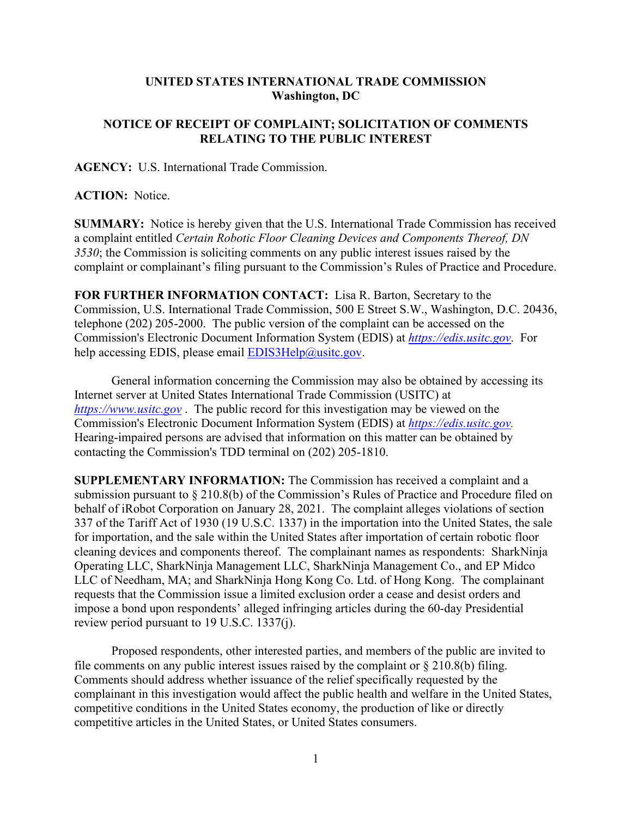## **UNITED STATES INTERNATIONAL TRADE COMMISSION Washington, DC**

## **NOTICE OF RECEIPT OF COMPLAINT; SOLICITATION OF COMMENTS RELATING TO THE PUBLIC INTEREST**

**AGENCY:** U.S. International Trade Commission.

**ACTION:** Notice.

**SUMMARY:** Notice is hereby given that the U.S. International Trade Commission has received a complaint entitled *Certain Robotic Floor Cleaning Devices and Components Thereof, DN 3530*; the Commission is soliciting comments on any public interest issues raised by the complaint or complainant's filing pursuant to the Commission's Rules of Practice and Procedure.

**FOR FURTHER INFORMATION CONTACT:** Lisa R. Barton, Secretary to the Commission, U.S. International Trade Commission, 500 E Street S.W., Washington, D.C. 20436, telephone (202) 205-2000. The public version of the complaint can be accessed on the Commission's Electronic Document Information System (EDIS) at *[https://edis.usitc.gov](https://edis.usitc.gov/)*. For help accessing EDIS, please email [EDIS3Help@usitc.gov.](mailto:EDIS3Help@usitc.gov)

General information concerning the Commission may also be obtained by accessing its Internet server at United States International Trade Commission (USITC) at *[https://www.usitc.gov](https://www.usitc.gov/)* . The public record for this investigation may be viewed on the Commission's Electronic Document Information System (EDIS) at *[https://edis.usitc.gov.](https://edis.usitc.gov/)* Hearing-impaired persons are advised that information on this matter can be obtained by contacting the Commission's TDD terminal on (202) 205-1810.

**SUPPLEMENTARY INFORMATION:** The Commission has received a complaint and a submission pursuant to § 210.8(b) of the Commission's Rules of Practice and Procedure filed on behalf of iRobot Corporation on January 28, 2021. The complaint alleges violations of section 337 of the Tariff Act of 1930 (19 U.S.C. 1337) in the importation into the United States, the sale for importation, and the sale within the United States after importation of certain robotic floor cleaning devices and components thereof. The complainant names as respondents: SharkNinja Operating LLC, SharkNinja Management LLC, SharkNinja Management Co., and EP Midco LLC of Needham, MA; and SharkNinja Hong Kong Co. Ltd. of Hong Kong. The complainant requests that the Commission issue a limited exclusion order a cease and desist orders and impose a bond upon respondents' alleged infringing articles during the 60-day Presidential review period pursuant to 19 U.S.C. 1337(j).

Proposed respondents, other interested parties, and members of the public are invited to file comments on any public interest issues raised by the complaint or  $\S 210.8(b)$  filing. Comments should address whether issuance of the relief specifically requested by the complainant in this investigation would affect the public health and welfare in the United States, competitive conditions in the United States economy, the production of like or directly competitive articles in the United States, or United States consumers.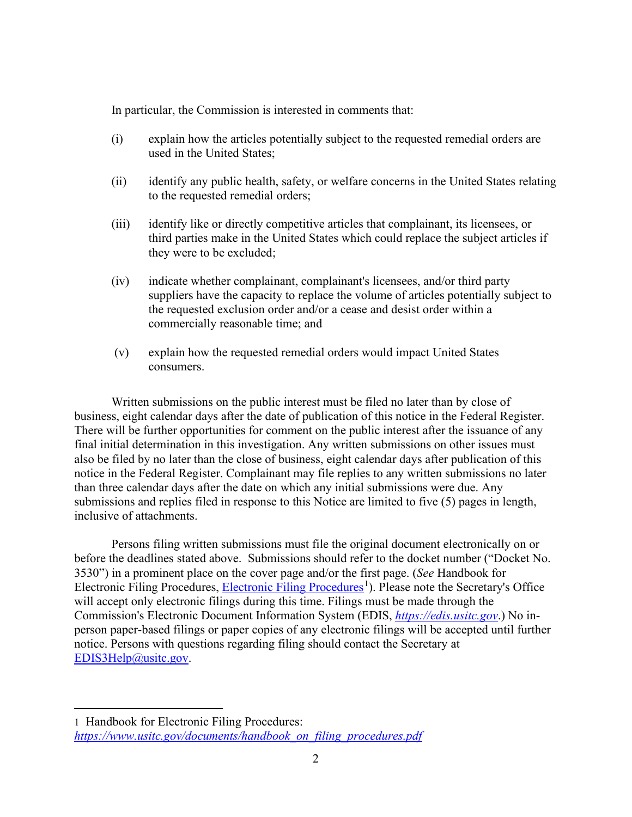In particular, the Commission is interested in comments that:

- (i) explain how the articles potentially subject to the requested remedial orders are used in the United States;
- (ii) identify any public health, safety, or welfare concerns in the United States relating to the requested remedial orders;
- (iii) identify like or directly competitive articles that complainant, its licensees, or third parties make in the United States which could replace the subject articles if they were to be excluded;
- (iv) indicate whether complainant, complainant's licensees, and/or third party suppliers have the capacity to replace the volume of articles potentially subject to the requested exclusion order and/or a cease and desist order within a commercially reasonable time; and
- (v) explain how the requested remedial orders would impact United States consumers.

Written submissions on the public interest must be filed no later than by close of business, eight calendar days after the date of publication of this notice in the Federal Register. There will be further opportunities for comment on the public interest after the issuance of any final initial determination in this investigation. Any written submissions on other issues must also be filed by no later than the close of business, eight calendar days after publication of this notice in the Federal Register. Complainant may file replies to any written submissions no later than three calendar days after the date on which any initial submissions were due. Any submissions and replies filed in response to this Notice are limited to five (5) pages in length, inclusive of attachments.

Persons filing written submissions must file the original document electronically on or before the deadlines stated above. Submissions should refer to the docket number ("Docket No. 3530") in a prominent place on the cover page and/or the first page. (*See* Handbook for Electronic Filing Procedures, [Electronic Filing Procedures](https://www.usitc.gov/documents/handbook_on_filing_procedures.pdf)<sup>[1](#page-1-0)</sup>). Please note the Secretary's Office will accept only electronic filings during this time. Filings must be made through the Commission's Electronic Document Information System (EDIS, *[https://edis.usitc.gov](https://edis.usitc.gov/)*.) No inperson paper-based filings or paper copies of any electronic filings will be accepted until further notice. Persons with questions regarding filing should contact the Secretary at [EDIS3Help@usitc.gov.](mailto:EDIS3Help@usitc.gov)

<span id="page-1-0"></span><sup>1</sup> Handbook for Electronic Filing Procedures: *[https://www.usitc.gov/documents/handbook\\_on\\_filing\\_procedures.pdf](https://www.usitc.gov/documents/handbook_on_filing_procedures.pdf)*